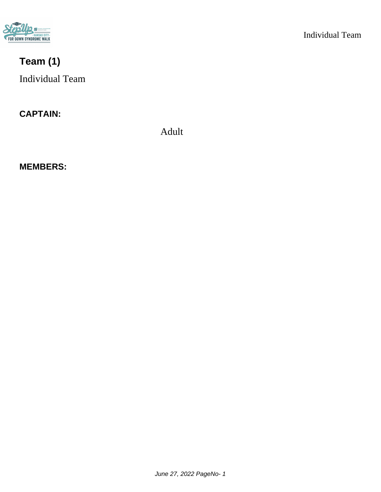

# **Team (1)**

Individual Team

### **CAPTAIN:**

Adult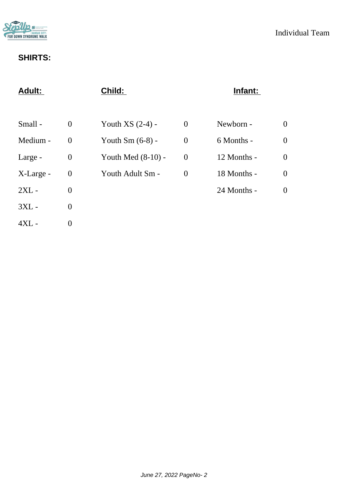

| $\overline{0}$   |
|------------------|
| $\overline{0}$   |
| $\boldsymbol{0}$ |
| $\boldsymbol{0}$ |
| $\overline{0}$   |
|                  |
|                  |
|                  |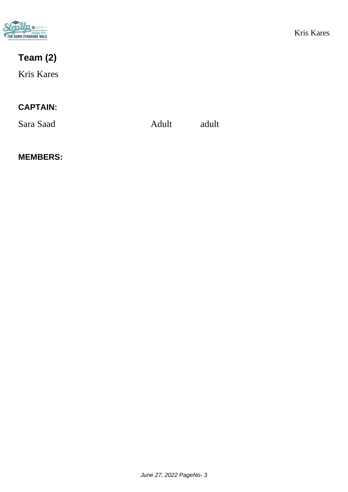

# **Team (2)**

Kris Kares

### **CAPTAIN:**

Sara Saad Adult adult adult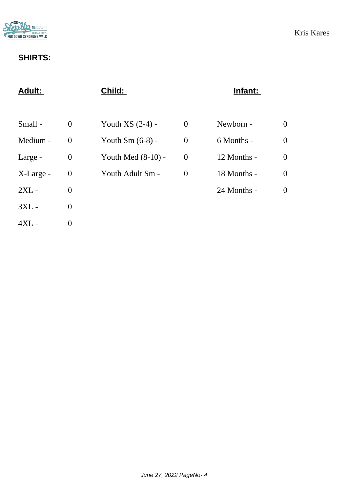

| <b>Adult:</b> |                  | Child:               |                | Infant:     |                  |
|---------------|------------------|----------------------|----------------|-------------|------------------|
|               |                  |                      |                |             |                  |
| Small -       | $\overline{0}$   | Youth $XS(2-4)$ -    | $\theta$       | Newborn -   | $\boldsymbol{0}$ |
| Medium -      | $\overline{0}$   | Youth $Sm(6-8)$ -    | $\overline{0}$ | 6 Months -  | $\overline{0}$   |
| Large -       | $\boldsymbol{0}$ | Youth Med $(8-10)$ - | $\overline{0}$ | 12 Months - | $\boldsymbol{0}$ |
| X-Large -     | $\boldsymbol{0}$ | Youth Adult Sm -     | $\overline{0}$ | 18 Months - | $\boldsymbol{0}$ |
| $2XL -$       | $\overline{0}$   |                      |                | 24 Months - | $\theta$         |
| $3XL -$       | $\overline{0}$   |                      |                |             |                  |
| $4XL -$       | $\overline{0}$   |                      |                |             |                  |
|               |                  |                      |                |             |                  |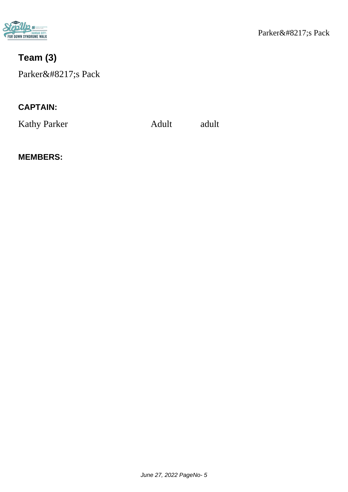

# **Team (3)**

Parker's Pack

### **CAPTAIN:**

Kathy Parker Adult adult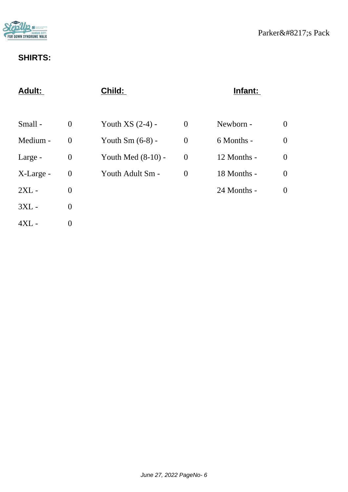

|                  | Child:               |                | Infant:     |                  |
|------------------|----------------------|----------------|-------------|------------------|
|                  |                      |                |             |                  |
| $\theta$         | Youth $XS(2-4)$ -    | $\overline{0}$ | Newborn -   | $\overline{0}$   |
| $\theta$         | Youth $Sm(6-8)$ -    | $\theta$       | 6 Months -  | $\overline{0}$   |
| $\boldsymbol{0}$ | Youth Med $(8-10)$ - | $\overline{0}$ | 12 Months - | $\boldsymbol{0}$ |
| $\boldsymbol{0}$ | Youth Adult Sm -     | $\theta$       | 18 Months - | $\boldsymbol{0}$ |
| $\theta$         |                      |                | 24 Months - | $\boldsymbol{0}$ |
| $\overline{0}$   |                      |                |             |                  |
| $\overline{0}$   |                      |                |             |                  |
|                  |                      |                |             |                  |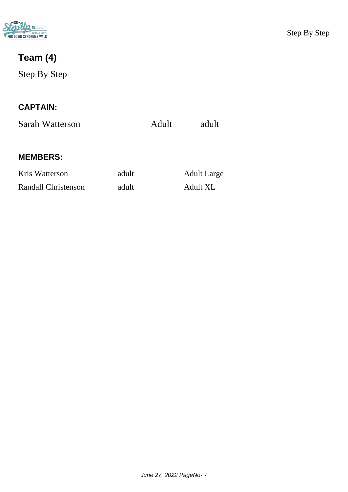

# **Team (4)**

Step By Step

### **CAPTAIN:**

Sarah Watterson Adult adult

#### **MEMBERS:**

Kris Watterson adult Adult Large Randall Christenson adult Adult XL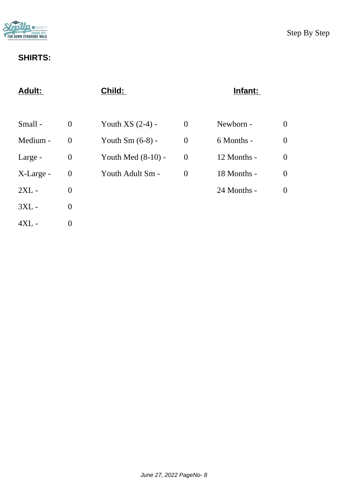

| <b>Adult:</b> |                  | Child:               |                | Infant:     |                  |
|---------------|------------------|----------------------|----------------|-------------|------------------|
|               |                  |                      |                |             |                  |
| Small -       | $\theta$         | Youth $XS(2-4)$ -    | $\theta$       | Newborn -   | $\overline{0}$   |
| Medium -      | $\overline{0}$   | Youth $Sm(6-8)$ -    | $\overline{0}$ | 6 Months -  | $\overline{0}$   |
| Large -       | $\boldsymbol{0}$ | Youth Med $(8-10)$ - | $\overline{0}$ | 12 Months - | $\overline{0}$   |
| X-Large -     | $\boldsymbol{0}$ | Youth Adult Sm -     | $\overline{0}$ | 18 Months - | $\boldsymbol{0}$ |
| $2XL -$       | $\overline{0}$   |                      |                | 24 Months - | $\overline{0}$   |
| $3XL -$       | $\overline{0}$   |                      |                |             |                  |
| $4XL -$       | $\overline{0}$   |                      |                |             |                  |
|               |                  |                      |                |             |                  |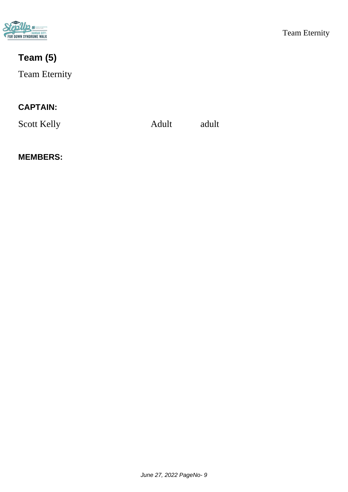

# **Team (5)**

### Team Eternity

### **CAPTAIN:**

Scott Kelly Adult adult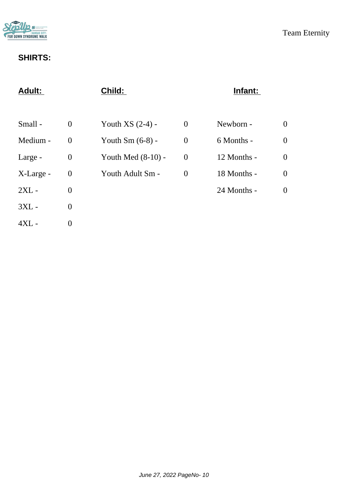

| <b>Adult:</b> |                  | Child:               |                  | Infant:     |                  |
|---------------|------------------|----------------------|------------------|-------------|------------------|
|               |                  |                      |                  |             |                  |
| Small -       | $\theta$         | Youth $XS(2-4)$ -    | $\boldsymbol{0}$ | Newborn -   | $\theta$         |
| Medium -      | $\overline{0}$   | Youth $Sm(6-8)$ -    | $\overline{0}$   | 6 Months -  | $\overline{0}$   |
| Large -       | $\boldsymbol{0}$ | Youth Med $(8-10)$ - | $\boldsymbol{0}$ | 12 Months - | $\boldsymbol{0}$ |
| X-Large -     | $\boldsymbol{0}$ | Youth Adult Sm -     | $\theta$         | 18 Months - | $\boldsymbol{0}$ |
| $2XL -$       | $\overline{0}$   |                      |                  | 24 Months - | $\overline{0}$   |
| $3XL -$       | $\overline{0}$   |                      |                  |             |                  |
| $4XL -$       | $\overline{0}$   |                      |                  |             |                  |
|               |                  |                      |                  |             |                  |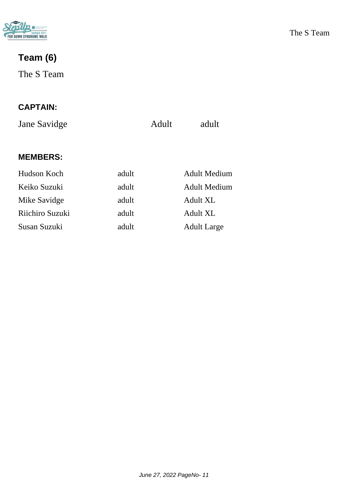

# **Team (6)**

The S Team

### **CAPTAIN:**

Jane Savidge Adult adult

#### **MEMBERS:**

Mike Savidge adult Adult XL Riichiro Suzuki adult adult Adult XL

Hudson Koch adult Adult Medium Keiko Suzuki adult Adult Medium Susan Suzuki adult Adult Large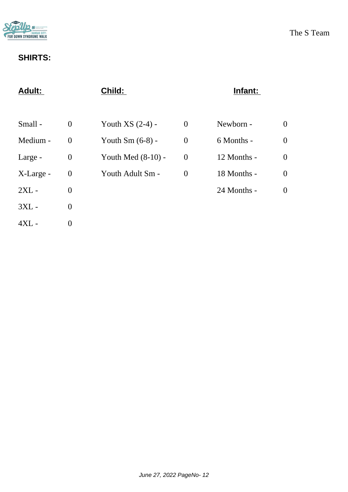

| <b>Adult:</b> |                  | Child:               |                | Infant:     |                  |
|---------------|------------------|----------------------|----------------|-------------|------------------|
|               |                  |                      |                |             |                  |
| Small -       | $\overline{0}$   | Youth $XS(2-4)$ -    | $\theta$       | Newborn -   | $\boldsymbol{0}$ |
| Medium -      | $\overline{0}$   | Youth $Sm(6-8)$ -    | $\overline{0}$ | 6 Months -  | $\overline{0}$   |
| Large -       | $\boldsymbol{0}$ | Youth Med $(8-10)$ - | $\overline{0}$ | 12 Months - | $\boldsymbol{0}$ |
| X-Large -     | $\boldsymbol{0}$ | Youth Adult Sm -     | $\overline{0}$ | 18 Months - | $\boldsymbol{0}$ |
| $2XL -$       | $\overline{0}$   |                      |                | 24 Months - | $\theta$         |
| $3XL -$       | $\overline{0}$   |                      |                |             |                  |
| $4XL -$       | $\overline{0}$   |                      |                |             |                  |
|               |                  |                      |                |             |                  |